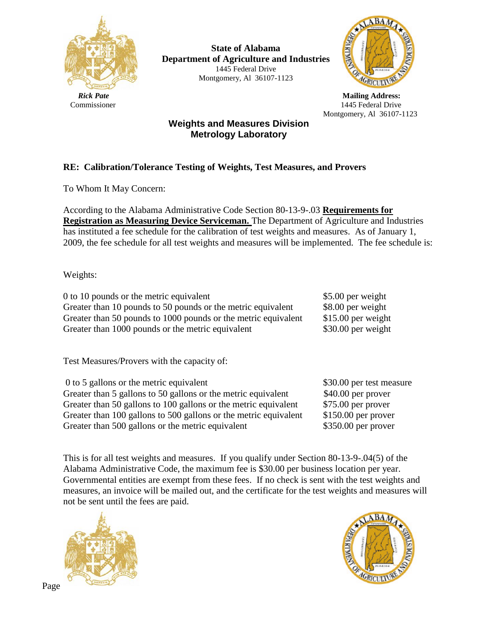

**State of Alabama Department of Agriculture and Industries** 1445 Federal Drive Montgomery, Al 36107-1123



*Rick Pate* Mailing Address: Commissioner 1445 Federal Drive Montgomery, Al 36107-1123

## **Weights and Measures Division Metrology Laboratory**

## **RE: Calibration/Tolerance Testing of Weights, Test Measures, and Provers**

To Whom It May Concern:

According to the Alabama Administrative Code Section 80-13-9-.03 **Requirements for Registration as Measuring Device Serviceman.** The Department of Agriculture and Industries has instituted a fee schedule for the calibration of test weights and measures. As of January 1, 2009, the fee schedule for all test weights and measures will be implemented. The fee schedule is:

Weights:

0 to 10 pounds or the metric equivalent \$5.00 per weight Greater than 10 pounds to 50 pounds or the metric equivalent \$8.00 per weight Greater than 50 pounds to 1000 pounds or the metric equivalent \$15.00 per weight Greater than 1000 pounds or the metric equivalent \$30.00 per weight

Test Measures/Provers with the capacity of:

| 0 to 5 gallons or the metric equivalent                          | \$30.00 per test measure |
|------------------------------------------------------------------|--------------------------|
| Greater than 5 gallons to 50 gallons or the metric equivalent    | $$40.00$ per prover      |
| Greater than 50 gallons to 100 gallons or the metric equivalent  | $$75.00$ per prover      |
| Greater than 100 gallons to 500 gallons or the metric equivalent | $$150.00$ per prover     |
| Greater than 500 gallons or the metric equivalent                | $$350.00$ per prover     |

This is for all test weights and measures. If you qualify under Section 80-13-9-.04(5) of the Alabama Administrative Code, the maximum fee is \$30.00 per business location per year. Governmental entities are exempt from these fees. If no check is sent with the test weights and measures, an invoice will be mailed out, and the certificate for the test weights and measures will not be sent until the fees are paid.